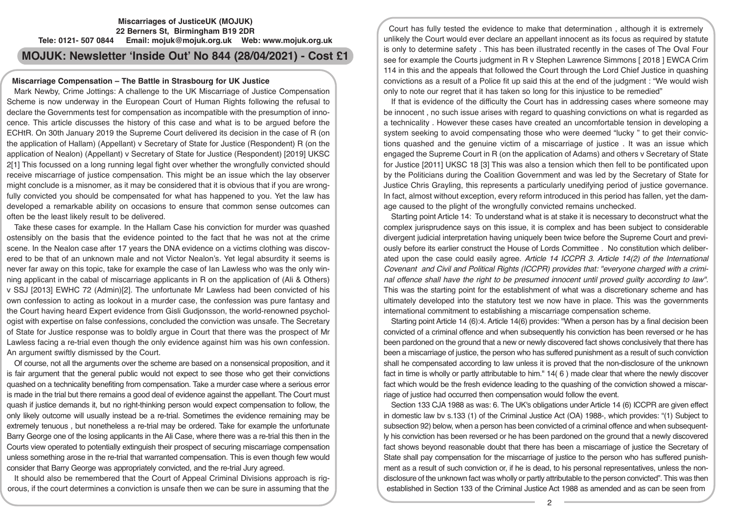# **Miscarriages of JusticeUK (MOJUK) 22 Berners St, Birmingham B19 2DR Tele: 0121- 507 0844 Email: mojuk@mojuk.org.uk Web: www.mojuk.org.uk**

# **MOJUK: Newsletter 'Inside Out' No 844 (28/04/2021) - Cost £1**

# **Miscarriage Compensation – The Battle in Strasbourg for UK Justice**

Mark Newby, Crime Jottings: A challenge to the UK Miscarriage of Justice Compensation Scheme is now underway in the European Court of Human Rights following the refusal to declare the Governments test for compensation as incompatible with the presumption of innocence. This article discusses the history of this case and what is to be argued before the ECHtR. On 30th January 2019 the Supreme Court delivered its decision in the case of R (on the application of Hallam) (Appellant) v Secretary of State for Justice (Respondent) R (on the application of Nealon) (Appellant) v Secretary of State for Justice (Respondent) [2019] UKSC 2[1] This focussed on a long running legal fight over whether the wrongfully convicted should receive miscarriage of justice compensation. This might be an issue which the lay observer might conclude is a misnomer, as it may be considered that it is obvious that if you are wrongfully convicted you should be compensated for what has happened to you. Yet the law has developed a remarkable ability on occasions to ensure that common sense outcomes can often be the least likely result to be delivered.

Take these cases for example. In the Hallam Case his conviction for murder was quashed ostensibly on the basis that the evidence pointed to the fact that he was not at the crime scene. In the Nealon case after 17 years the DNA evidence on a victims clothing was discovered to be that of an unknown male and not Victor Nealon's. Yet legal absurdity it seems is never far away on this topic, take for example the case of Ian Lawless who was the only winning applicant in the cabal of miscarriage applicants in R on the application of (Ali & Others) v SSJ [2013] EWHC 72 (Admin)[2]. The unfortunate Mr Lawless had been convicted of his own confession to acting as lookout in a murder case, the confession was pure fantasy and the Court having heard Expert evidence from Gisli Gudjonsson, the world-renowned psychologist with expertise on false confessions, concluded the conviction was unsafe. The Secretary of State for Justice response was to boldly argue in Court that there was the prospect of Mr Lawless facing a re-trial even though the only evidence against him was his own confession. An argument swiftly dismissed by the Court.

Of course, not all the arguments over the scheme are based on a nonsensical proposition, and it is fair argument that the general public would not expect to see those who get their convictions quashed on a technicality benefiting from compensation. Take a murder case where a serious error is made in the trial but there remains a good deal of evidence against the appellant. The Court must quash if justice demands it, but no right-thinking person would expect compensation to follow, the only likely outcome will usually instead be a re-trial. Sometimes the evidence remaining may be extremely tenuous , but nonetheless a re-trial may be ordered. Take for example the unfortunate Barry George one of the losing applicants in the Ali Case, where there was a re-trial this then in the Courts view operated to potentially extinguish their prospect of securing miscarriage compensation unless something arose in the re-trial that warranted compensation. This is even though few would consider that Barry George was appropriately convicted, and the re-trial Jury agreed.

It should also be remembered that the Court of Appeal Criminal Divisions approach is rigorous, if the court determines a conviction is unsafe then we can be sure in assuming that the

Court has fully tested the evidence to make that determination , although it is extremely unlikely the Court would ever declare an appellant innocent as its focus as required by statute is only to determine safety . This has been illustrated recently in the cases of The Oval Four see for example the Courts judgment in R v Stephen Lawrence Simmons [2018] EWCA Crim 114 in this and the appeals that followed the Court through the Lord Chief Justice in quashing convictions as a result of a Police fit up said this at the end of the judgment : "We would wish only to note our regret that it has taken so long for this injustice to be remedied"

If that is evidence of the difficulty the Court has in addressing cases where someone may be innocent , no such issue arises with regard to quashing convictions on what is regarded as a technicality . However these cases have created an uncomfortable tension in developing a system seeking to avoid compensating those who were deemed "lucky " to get their convictions quashed and the genuine victim of a miscarriage of justice . It was an issue which engaged the Supreme Court in R (on the application of Adams) and others v Secretary of State for Justice [2011] UKSC 18 [3] This was also a tension which then fell to be pontificated upon by the Politicians during the Coalition Government and was led by the Secretary of State for Justice Chris Grayling, this represents a particularly unedifying period of justice governance. In fact, almost without exception, every reform introduced in this period has fallen, yet the damage caused to the plight of the wrongfully convicted remains unchecked.

Starting point Article 14: To understand what is at stake it is necessary to deconstruct what the complex jurisprudence says on this issue, it is complex and has been subject to considerable divergent judicial interpretation having uniquely been twice before the Supreme Court and previously before its earlier construct the House of Lords Committee . No constitution which deliberated upon the case could easily agree. *Article 14 ICCPR 3. Article 14(2) of the International Covenant and Civil and Political Rights (ICCPR) provides that: "everyone charged with a criminal offence shall have the right to be presumed innocent until proved guilty according to law".*  This was the starting point for the establishment of what was a discretionary scheme and has ultimately developed into the statutory test we now have in place. This was the governments international commitment to establishing a miscarriage compensation scheme.

Starting point Article 14 (6):4. Article 14(6) provides: "When a person has by a final decision been convicted of a criminal offence and when subsequently his conviction has been reversed or he has been pardoned on the ground that a new or newly discovered fact shows conclusively that there has been a miscarriage of justice, the person who has suffered punishment as a result of such conviction shall he compensated according to law unless it is proved that the non-disclosure of the unknown fact in time is wholly or partly attributable to him." 14( 6 ) made clear that where the newly discover fact which would be the fresh evidence leading to the quashing of the conviction showed a miscarriage of justice had occurred then compensation would follow the event.

Section 133 CJA 1988 as was: 6. The UK's obligations under Article 14 (6) ICCPR are given effect in domestic law bv s.133 (1) of the Criminal Justice Act (OA) 1988-, which provides: "(1) Subject to subsection 92) below, when a person has been convicted of a criminal offence and when subsequently his conviction has been reversed or he has been pardoned on the ground that a newly discovered fact shows beyond reasonable doubt that there has been a miscarriage of justice the Secretary of State shall pay compensation for the miscarriage of justice to the person who has suffered punishment as a result of such conviction or, if he is dead, to his personal representatives, unless the nondisclosure of the unknown fact was wholly or partly attributable to the person convicted". This was then established in Section 133 of the Criminal Justice Act 1988 as amended and as can be seen from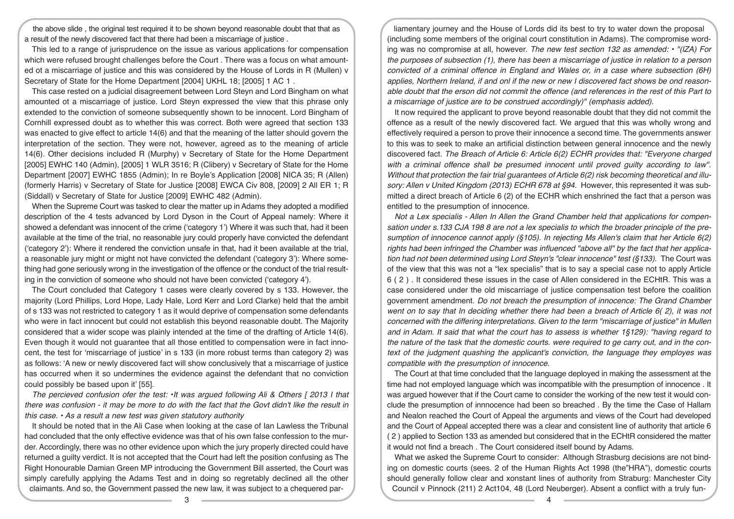the above slide , the original test required it to be shown beyond reasonable doubt that that as a result of the newly discovered fact that there had been a miscarriage of justice .

This led to a range of jurisprudence on the issue as various applications for compensation which were refused brought challenges before the Court . There was a focus on what amounted ot a miscarriage of justice and this was considered by the House of Lords in R (Mullen) v Secretary of State for the Home Department [2004] UKHL 18; [2005] 1 AC 1 .

This case rested on a judicial disagreement between Lord Steyn and Lord Bingham on what amounted ot a miscarriage of justice. Lord Steyn expressed the view that this phrase only extended to the conviction of someone subsequently shown to be innocent. Lord Bingham of Cornhill expressed doubt as to whether this was correct. Both were agreed that section 133 was enacted to give effect to article 14(6) and that the meaning of the latter should govern the interpretation of the section. They were not, however, agreed as to the meaning of article 14(6). Other decisions included R (Murphy) v Secretary of State for the Home Department [2005] EWHC 140 (Admin), [2005] 1 WLR 3516; R (Clibery) v Secretary of State for the Home Department [2007] EWHC 1855 (Admin); In re Boyle's Application [2008] NICA 35; R (Allen) (formerly Harris) v Secretary of State for Justice [2008] EWCA Civ 808, [2009] 2 All ER 1; R (Siddall) v Secretary of State for Justice [2009] EWHC 482 (Admin).

When the Supreme Court was tasked to clear the matter up in Adams they adopted a modified description of the 4 tests advanced by Lord Dyson in the Court of Appeal namely: Where it showed a defendant was innocent of the crime ('category 1') Where it was such that, had it been available at the time of the trial, no reasonable jury could properly have convicted the defendant ('category 2'): Where it rendered the conviction unsafe in that, had it been available at the trial, a reasonable jury might or might not have convicted the defendant ('category 3'): Where something had gone seriously wrong in the investigation of the offence or the conduct of the trial resulting in the conviction of someone who should not have been convicted ('category 4').

The Court concluded that Category 1 cases were clearly covered by s 133. However, the majority (Lord Phillips, Lord Hope, Lady Hale, Lord Kerr and Lord Clarke) held that the ambit of s 133 was not restricted to category 1 as it would deprive of compensation some defendants who were in fact innocent but could not establish this beyond reasonable doubt. The Majority considered that a wider scope was plainly intended at the time of the drafting of Article 14(6). Even though it would not guarantee that all those entitled to compensation were in fact innocent, the test for 'miscarriage of justice' in s 133 (in more robust terms than category 2) was as follows: 'A new or newly discovered fact will show conclusively that a miscarriage of justice has occurred when it so undermines the evidence against the defendant that no conviction could possibly be based upon it' [55].

*The percieved confusion ofer the test: •It was argued following Ali & Others [ 2013 I that there was confusion - it may be more to do with the fact that the Govt didn't like the result in this case. • As a result a new test was given statutory authority* 

It should be noted that in the Ali Case when looking at the case of Ian Lawless the Tribunal had concluded that the only effective evidence was that of his own false confession to the murder. Accordingly, there was no other evidence upon which the jury properly directed could have returned a guilty verdict. It is not accepted that the Court had left the position confusing as The Right Honourable Damian Green MP introducing the Government Bill asserted, the Court was simply carefully applying the Adams Test and in doing so regretably declined all the other claimants. And so, the Government passed the new law, it was subject to a chequered par-

liamentary journey and the House of Lords did its best to try to water down the proposal (including some members of the original court constitution in Adams). The compromise wording was no compromise at all, however. *The new test section 132 as amended: • "(lZA) For the purposes of subsection (1), there has been a miscarriage of justice in relation to a person convicted of a criminal offence in England and Wales or, in a case where subsection (6H) applies, Northern Ireland, if and onl if the new or new I discovered fact shows be ond reasonable doubt that the erson did not commit the offence (and references in the rest of this Part to a miscarriage of justice are to be construed accordingly)" (emphasis added).* 

It now required the applicant to prove beyond reasonable doubt that they did not commit the offence as a result of the newly discovered fact. We argued that this was wholly wrong and effectively required a person to prove their innocence a second time. The governments answer to this was to seek to make an artificial distinction between general innocence and the newly discovered fact. *The Breach of Article 6: Article 6(2) ECHR provides that: "Everyone charged with a criminal offence shall be presumed innocent until proved guilty according to law".*  Without that protection the fair trial guarantees of Article 6(2) risk becoming theoretical and illu*sory: Allen v United Kingdom (2013) ECHR 678 at §94.* However, this represented it was submitted a direct breach of Article 6 (2) of the ECHR which enshrined the fact that a person was entitled to the presumption of innocence.

*Not a Lex specialis - Allen In Allen the Grand Chamber held that applications for compensation under s.133 CJA 198 8 are not a lex specialis to which the broader principle of the presumption of innocence cannot apply (§105). In rejecting Ms Allen's claim that her Article 6(2) rights had been infringed the Chamber was influenced "above all" by the fact that her application had not been determined using Lord Steyn's "clear innocence" test (§133).* The Court was of the view that this was not a "lex specialis" that is to say a special case not to apply Article 6 ( 2 ) . It considered these issues in the case of Allen considered in the ECHtR. This was a case considered under the old miscarriage of justice compensation test before the coalition government amendment. *Do not breach the presumption of innocence: The Grand Chamber went on to say that In deciding whether there had been a breach of Article 6( 2), it was not concerned with the differing interpretations. Given to the term "miscarriage of justice" in Mullen and in Adam. It said that what the court has to assess is whether 1§129): "having regard to the nature of the task that the domestic courts. were required to ge carry out, and in the context of the judgment quashing the applicant's conviction, the Ianguage they employes was compatible with the presumption of innocence.* 

The Court at that time concluded that the language deployed in making the assessment at the time had not employed language which was incompatible with the presumption of innocence . It was argued however that if the Court came to consider the working of the new test it would conclude the presumption of innnocence had been so breached . By the time the Case of Hallam and Nealon reached the Court of Appeal the arguments and views of the Court had developed and the Court of Appeal accepted there was a clear and consistent line of authority that article 6 ( 2 ) applied to Section 133 as amended but considered that in the ECHtR considered the matter it would not find a breach . The Court considered itself bound by Adams.

What we asked the Supreme Court to consider: Although Strasburg decisions are not binding on domestic courts (sees. 2 of the Human Rights Act 1998 (the"HRA"), domestic courts should generally follow clear and xonstant lines of authority from Straburg: Manchester City Council v Pinnock (211) 2 Act104, 48 (Lord Neuberger). Absent a conflict with a truly fun-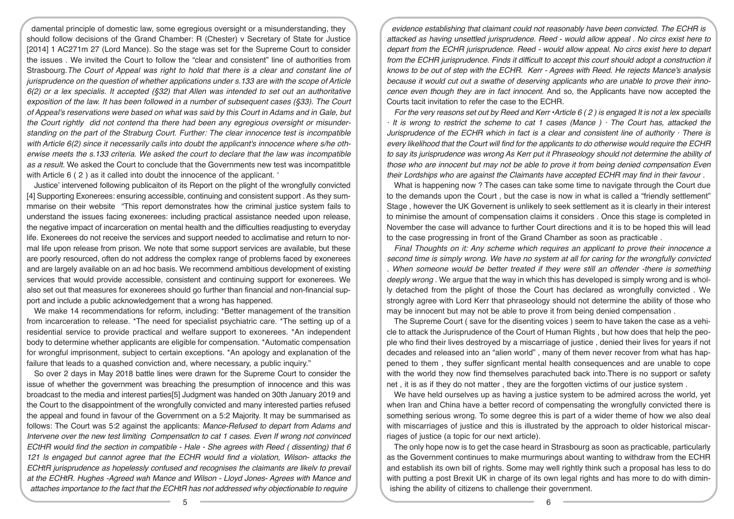damental principle of domestic law, some egregious oversight or a misunderstanding, they should follow decisions of the Grand Chamber: R (Chester) v Secretary of State for Justice [2014] 1 AC271m 27 (Lord Mance). So the stage was set for the Supreme Court to consider the issues . We invited the Court to follow the "clear and consistent" line of authorities from Strasbourg.*The Court of Appeal was right to hold that there is a clear and constant line of jurisprudence on the question of whether applications under s.133 are with the scope of Article 6(2) or a lex specialis. It accepted (§32) that Allen was intended to set out an authoritative exposition of the law. It has been followed in a number of subsequent cases (§33). The Court of Appeal's reservations were based on what was said by this Court in Adams and in Gale, but the Court rightly did not contend tha there had been any egregious oversight or misunderstanding on the part of the Straburg Court. Further: The clear innocence test is incompatible with Article 6(2) since it necessarily calls into doubt the applicant's innocence where s/he otherwise meets the s.133 criteria. We asked the court to declare that the law was incompatible as a result.* We asked the Court to conclude that the Governments new test was incompatitble with Article 6 (2) as it called into doubt the innocence of the applicant. '

Justice' intervened following publicaiton of its Report on the plight of the wrongfully convicted [4] Supporting Exonerees: ensuring accessible, continuing and consistent support . As they summmarise on their website "This report demonstrates how the criminal justice system fails to understand the issues facing exonerees: including practical assistance needed upon release, the negative impact of incarceration on mental health and the difficulties readjusting to everyday life. Exonerees do not receive the services and support needed to acclimatise and return to normal life upon release from prison. We note that some support services are available, but these are poorly resourced, often do not address the complex range of problems faced by exonerees and are largely available on an ad hoc basis. We recommend ambitious development of existing services that would provide accessible, consistent and continuing support for exonerees. We also set out that measures for exonerees should go further than financial and non-financial support and include a public acknowledgement that a wrong has happened.

We make 14 recommendations for reform, including: \*Better management of the transition from incarceration to release. \*The need for specialist psychiatric care. \*The setting up of a residential service to provide practical and welfare support to exonerees. \*An independent body to determine whether applicants are eligible for compensation. \*Automatic compensation for wrongful imprisonment, subject to certain exceptions. \*An apology and explanation of the failure that leads to a quashed conviction and, where necessary, a public inquiry."

So over 2 days in May 2018 battle lines were drawn for the Supreme Court to consider the issue of whether the government was breaching the presumption of innocence and this was broadcast to the media and interest parties[5] Judgment was handed on 30th January 2019 and the Court to the disappointment of the wrongfully convicted and many interested parties refused the appeal and found in favour of the Government on a 5:2 Majority. It may be summarised as follows: The Court was 5:2 against the applicants: *Mance-Refused to depart from Adams and Intervene over the new test limiting Compensatlcn to cat 1 cases. Even If wrong not convinced ECtHR would find the section in compatibIe - Hale - She agrees with Reed ( dissenting) that 6 121 ls engaged but cannot agree that the ECHR would find a violation, Wilson- attacks the ECHtR jurisprudence as hopelessly confused and recognises the claimants are likelv to prevail at the ECHtR. Hughes -Agreed wah Mance and Wilson - Lloyd Jones- Agrees with Mance and attaches importance to the fact that the ECHtR has not addressed why objectionable to require* 

*evidence establishing that claimant could not reasonably have been convicted. The ECHR is attacked as having unsettled jurisprudence. Reed - would allow appeal . No circs exist here to depart from the ECHR jurisprudence. Reed - would allow appeal. No circs exist here to depart from the ECHR jurisprudence. Finds it difficult to accept this court should adopt a construction it knows to be out of step with the ECHR. Kerr - Agrees with Reed. He rejects Mance's analysis because it would cut out a swathe of deserving applicants who are unable to prove their innocence even though they are in fact innocent.* And so, the Applicants have now accepted the Courts tacit invitation to refer the case to the ECHR.

*For the very reasons set out by Reed and Kerr •Article 6 ( 2 ) is engaged It is not a lex specialls · It is wrong to restrict the scheme to cat 1 cases (Mance ) · The Court has, attacked the Jurisprudence of the ECHR which in fact is a clear and consistent line of authority · There is every likelihood that the Court will find for the applicants to do otherwise would require the ECHR to say its jurisprudence was wrong As Kerr put it Phraseology should not determine the ability of those who are innocent but may not be able to prove it from being denied compensation Even their Lordships who are against the Claimants have accepted ECHR may find in their favour .* 

What is happening now ? The cases can take some time to navigate through the Court due to the demands upon the Court , but the case is now in what is called a "friendly settlement" Stage , however the UK Governent is unlikely to seek settlement as it is clearly in their interest to minimise the amount of compensation claims it considers . Once this stage is completed in November the case will advance to further Court directions and it is to be hoped this will lead to the case progressing in front of the Grand Chamber as soon as practicable .

*FinaI Thoughts on it: Any scheme which requires an applicant to prove their innocence a second time is simply wrong. We have no system at all for caring for the wrongfully convicted . When someone would be better treated if they were still an offender -there is something deeply wrong .* We argue that the way in which this has developed is simply wrong and is wholly detached from the plight of those the Court has declared as wrongfully convicted . We strongly agree with Lord Kerr that phraseology should not determine the ability of those who may be innocent but may not be able to prove it from being denied compensation .

The Supreme Court ( save for the disenting voices ) seem to have taken the case as a vehicle to attack the Jurisprudence of the Court of Human Rights , but how does that help the people who find their lives destroyed by a miscarriage of justice , denied their lives for years if not decades and released into an "alien world" , many of them never recover from what has happened to them , they suffer signficant mental health consequences and are unable to cope with the world they now find themselves parachuted back into.There is no support or safety net , it is as if they do not matter , they are the forgotten victims of our justice system .

We have held ourselves up as having a justice system to be admired across the world, yet when Iran and China have a better record of compensating the wrongfully convicted there is something serious wrong. To some degree this is part of a wider theme of how we also deal with miscarriages of justice and this is illustrated by the approach to older historical miscarriages of justice (a topic for our next article).

The only hope now is to get the case heard in Strasbourg as soon as practicable, particularly as the Government continues to make murmurings about wanting to withdraw from the ECHR and establish its own bill of rights. Some may well rightly think such a proposal has less to do with putting a post Brexit UK in charge of its own legal rights and has more to do with diminishing the ability of citizens to challenge their government.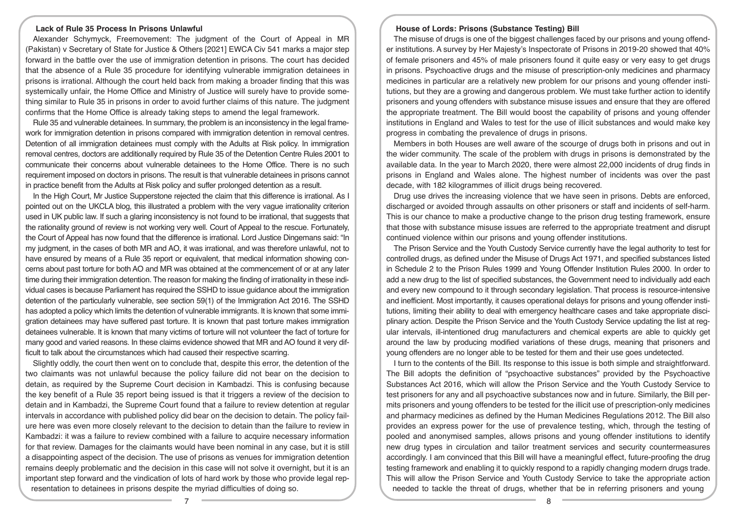# **Lack of Rule 35 Process In Prisons Unlawful**

Alexander Schymyck, Freemovement: The judgment of the Court of Appeal in MR (Pakistan) v Secretary of State for Justice & Others [2021] EWCA Civ 541 marks a major step forward in the battle over the use of immigration detention in prisons. The court has decided that the absence of a Rule 35 procedure for identifying vulnerable immigration detainees in prisons is irrational. Although the court held back from making a broader finding that this was systemically unfair, the Home Office and Ministry of Justice will surely have to provide something similar to Rule 35 in prisons in order to avoid further claims of this nature. The judgment confirms that the Home Office is already taking steps to amend the legal framework.

Rule 35 and vulnerable detainees. In summary, the problem is an inconsistency in the legal framework for immigration detention in prisons compared with immigration detention in removal centres. Detention of all immigration detainees must comply with the Adults at Risk policy. In immigration removal centres, doctors are additionally required by Rule 35 of the Detention Centre Rules 2001 to communicate their concerns about vulnerable detainees to the Home Office. There is no such requirement imposed on doctors in prisons. The result is that vulnerable detainees in prisons cannot in practice benefit from the Adults at Risk policy and suffer prolonged detention as a result.

In the High Court, Mr Justice Supperstone rejected the claim that this difference is irrational. As I pointed out on the UKCLA blog, this illustrated a problem with the very vague irrationality criterion used in UK public law. If such a glaring inconsistency is not found to be irrational, that suggests that the rationality ground of review is not working very well. Court of Appeal to the rescue. Fortunately, the Court of Appeal has now found that the difference is irrational. Lord Justice Dingemans said: "In my judgment, in the cases of both MR and AO, it was irrational, and was therefore unlawful, not to have ensured by means of a Rule 35 report or equivalent, that medical information showing concerns about past torture for both AO and MR was obtained at the commencement of or at any later time during their immigration detention. The reason for making the finding of irrationality in these individual cases is because Parliament has required the SSHD to issue guidance about the immigration detention of the particularly vulnerable, see section 59(1) of the Immigration Act 2016. The SSHD has adopted a policy which limits the detention of vulnerable immigrants. It is known that some immigration detainees may have suffered past torture. It is known that past torture makes immigration detainees vulnerable. It is known that many victims of torture will not volunteer the fact of torture for many good and varied reasons. In these claims evidence showed that MR and AO found it very difficult to talk about the circumstances which had caused their respective scarring.

Slightly oddly, the court then went on to conclude that, despite this error, the detention of the two claimants was not unlawful because the policy failure did not bear on the decision to detain, as required by the Supreme Court decision in Kambadzi. This is confusing because the key benefit of a Rule 35 report being issued is that it triggers a review of the decision to detain and in Kambadzi, the Supreme Court found that a failure to review detention at regular intervals in accordance with published policy did bear on the decision to detain. The policy failure here was even more closely relevant to the decision to detain than the failure to review in Kambadzi: it was a failure to review combined with a failure to acquire necessary information for that review. Damages for the claimants would have been nominal in any case, but it is still a disappointing aspect of the decision. The use of prisons as venues for immigration detention remains deeply problematic and the decision in this case will not solve it overnight, but it is an important step forward and the vindication of lots of hard work by those who provide legal representation to detainees in prisons despite the myriad difficulties of doing so.

#### **House of Lords: Prisons (Substance Testing) Bill**

The misuse of drugs is one of the biggest challenges faced by our prisons and young offender institutions. A survey by Her Majesty's Inspectorate of Prisons in 2019-20 showed that 40% of female prisoners and 45% of male prisoners found it quite easy or very easy to get drugs in prisons. Psychoactive drugs and the misuse of prescription-only medicines and pharmacy medicines in particular are a relatively new problem for our prisons and young offender institutions, but they are a growing and dangerous problem. We must take further action to identify prisoners and young offenders with substance misuse issues and ensure that they are offered the appropriate treatment. The Bill would boost the capability of prisons and young offender institutions in England and Wales to test for the use of illicit substances and would make key progress in combating the prevalence of drugs in prisons.

Members in both Houses are well aware of the scourge of drugs both in prisons and out in the wider community. The scale of the problem with drugs in prisons is demonstrated by the available data. In the year to March 2020, there were almost 22,000 incidents of drug finds in prisons in England and Wales alone. The highest number of incidents was over the past decade, with 182 kilogrammes of illicit drugs being recovered.

Drug use drives the increasing violence that we have seen in prisons. Debts are enforced, discharged or avoided through assaults on other prisoners or staff and incidents of self-harm. This is our chance to make a productive change to the prison drug testing framework, ensure that those with substance misuse issues are referred to the appropriate treatment and disrupt continued violence within our prisons and young offender institutions.

The Prison Service and the Youth Custody Service currently have the legal authority to test for controlled drugs, as defined under the Misuse of Drugs Act 1971, and specified substances listed in Schedule 2 to the Prison Rules 1999 and Young Offender Institution Rules 2000. In order to add a new drug to the list of specified substances, the Government need to individually add each and every new compound to it through secondary legislation. That process is resource-intensive and inefficient. Most importantly, it causes operational delays for prisons and young offender institutions, limiting their ability to deal with emergency healthcare cases and take appropriate disciplinary action. Despite the Prison Service and the Youth Custody Service updating the list at regular intervals, ill-intentioned drug manufacturers and chemical experts are able to quickly get around the law by producing modified variations of these drugs, meaning that prisoners and young offenders are no longer able to be tested for them and their use goes undetected.

I turn to the contents of the Bill. Its response to this issue is both simple and straightforward. The Bill adopts the definition of "psychoactive substances" provided by the Psychoactive Substances Act 2016, which will allow the Prison Service and the Youth Custody Service to test prisoners for any and all psychoactive substances now and in future. Similarly, the Bill permits prisoners and young offenders to be tested for the illicit use of prescription-only medicines and pharmacy medicines as defined by the Human Medicines Regulations 2012. The Bill also provides an express power for the use of prevalence testing, which, through the testing of pooled and anonymised samples, allows prisons and young offender institutions to identify new drug types in circulation and tailor treatment services and security countermeasures accordingly. I am convinced that this Bill will have a meaningful effect, future-proofing the drug testing framework and enabling it to quickly respond to a rapidly changing modern drugs trade. This will allow the Prison Service and Youth Custody Service to take the appropriate action needed to tackle the threat of drugs, whether that be in referring prisoners and young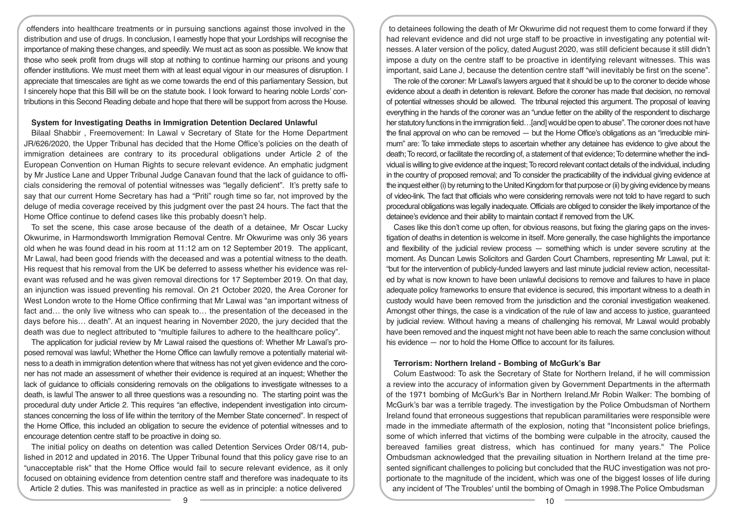offenders into healthcare treatments or in pursuing sanctions against those involved in the distribution and use of drugs. In conclusion, I earnestly hope that your Lordships will recognise the importance of making these changes, and speedily. We must act as soon as possible. We know that those who seek profit from drugs will stop at nothing to continue harming our prisons and young offender institutions. We must meet them with at least equal vigour in our measures of disruption. I appreciate that timescales are tight as we come towards the end of this parliamentary Session, but I sincerely hope that this Bill will be on the statute book. I look forward to hearing noble Lords' contributions in this Second Reading debate and hope that there will be support from across the House.

#### **System for Investigating Deaths in Immigration Detention Declared Unlawful**

Bilaal Shabbir , Freemovement: In Lawal v Secretary of State for the Home Department JR/626/2020, the Upper Tribunal has decided that the Home Office's policies on the death of immigration detainees are contrary to its procedural obligations under Article 2 of the European Convention on Human Rights to secure relevant evidence. An emphatic judgment by Mr Justice Lane and Upper Tribunal Judge Canavan found that the lack of guidance to officials considering the removal of potential witnesses was "legally deficient". It's pretty safe to say that our current Home Secretary has had a "Priti" rough time so far, not improved by the deluge of media coverage received by this judgment over the past 24 hours. The fact that the Home Office continue to defend cases like this probably doesn't help.

To set the scene, this case arose because of the death of a detainee, Mr Oscar Lucky Okwurime, in Harmondsworth Immigration Removal Centre. Mr Okwurime was only 36 years old when he was found dead in his room at 11:12 am on 12 September 2019. The applicant, Mr Lawal, had been good friends with the deceased and was a potential witness to the death. His request that his removal from the UK be deferred to assess whether his evidence was relevant was refused and he was given removal directions for 17 September 2019. On that day, an injunction was issued preventing his removal. On 21 October 2020, the Area Coroner for West London wrote to the Home Office confirming that Mr Lawal was "an important witness of fact and… the only live witness who can speak to… the presentation of the deceased in the days before his… death". At an inquest hearing in November 2020, the jury decided that the death was due to neglect attributed to "multiple failures to adhere to the healthcare policy".

The application for judicial review by Mr Lawal raised the questions of: Whether Mr Lawal's proposed removal was lawful; Whether the Home Office can lawfully remove a potentially material witness to a death in immigration detention where that witness has not yet given evidence and the coroner has not made an assessment of whether their evidence is required at an inquest; Whether the lack of guidance to officials considering removals on the obligations to investigate witnesses to a death, is lawful The answer to all three questions was a resounding no. The starting point was the procedural duty under Article 2. This requires "an effective, independent investigation into circumstances concerning the loss of life within the territory of the Member State concerned". In respect of the Home Office, this included an obligation to secure the evidence of potential witnesses and to encourage detention centre staff to be proactive in doing so.

The initial policy on deaths on detention was called Detention Services Order 08/14, published in 2012 and updated in 2016. The Upper Tribunal found that this policy gave rise to an "unacceptable risk" that the Home Office would fail to secure relevant evidence, as it only focused on obtaining evidence from detention centre staff and therefore was inadequate to its Article 2 duties. This was manifested in practice as well as in principle: a notice delivered

to detainees following the death of Mr Okwurime did not request them to come forward if they had relevant evidence and did not urge staff to be proactive in investigating any potential witnesses. A later version of the policy, dated August 2020, was still deficient because it still didn't impose a duty on the centre staff to be proactive in identifying relevant witnesses. This was important, said Lane J, because the detention centre staff "will inevitably be first on the scene".

The role of the coroner: Mr Lawal's lawyers argued that it should be up to the coroner to decide whose evidence about a death in detention is relevant. Before the coroner has made that decision, no removal of potential witnesses should be allowed. The tribunal rejected this argument. The proposal of leaving everything in the hands of the coroner was an "undue fetter on the ability of the respondent to discharge her statutory functions in the immigration field...[and] would be open to abuse". The coroner does not have the final approval on who can be removed — but the Home Office's obligations as an "irreducible minimum" are: To take immediate steps to ascertain whether any detainee has evidence to give about the death; To record, or facilitate the recording of, a statement of that evidence; To determine whether the individual is willing to give evidence at the inquest; To record relevant contact details of the individual, including in the country of proposed removal; and To consider the practicability of the individual giving evidence at the inquest either (i) by returning to the United Kingdom for that purpose or (ii) by giving evidence by means of video-link. The fact that officials who were considering removals were not told to have regard to such procedural obligations was legally inadequate. Officials are obliged to consider the likely importance of the detainee's evidence and their ability to maintain contact if removed from the UK.

Cases like this don't come up often, for obvious reasons, but fixing the glaring gaps on the investigation of deaths in detention is welcome in itself. More generally, the case highlights the importance and flexibility of the judicial review process — something which is under severe scrutiny at the moment. As Duncan Lewis Solicitors and Garden Court Chambers, representing Mr Lawal, put it: "but for the intervention of publicly-funded lawyers and last minute judicial review action, necessitated by what is now known to have been unlawful decisions to remove and failures to have in place adequate policy frameworks to ensure that evidence is secured, this important witness to a death in custody would have been removed from the jurisdiction and the coronial investigation weakened. Amongst other things, the case is a vindication of the rule of law and access to justice, guaranteed by judicial review. Without having a means of challenging his removal, Mr Lawal would probably have been removed and the inquest might not have been able to reach the same conclusion without his evidence — nor to hold the Home Office to account for its failures.

#### **Terrorism: Northern Ireland - Bombing of McGurk's Bar**

Colum Eastwood: To ask the Secretary of State for Northern Ireland, if he will commission a review into the accuracy of information given by Government Departments in the aftermath of the 1971 bombing of McGurk's Bar in Northern Ireland.Mr Robin Walker: The bombing of McGurk's bar was a terrible tragedy. The investigation by the Police Ombudsman of Northern Ireland found that erroneous suggestions that republican paramilitaries were responsible were made in the immediate aftermath of the explosion, noting that "Inconsistent police briefings, some of which inferred that victims of the bombing were culpable in the atrocity, caused the bereaved families great distress, which has continued for many years." The Police Ombudsman acknowledged that the prevailing situation in Northern Ireland at the time presented significant challenges to policing but concluded that the RUC investigation was not proportionate to the magnitude of the incident, which was one of the biggest losses of life during any incident of 'The Troubles' until the bombing of Omagh in 1998.The Police Ombudsman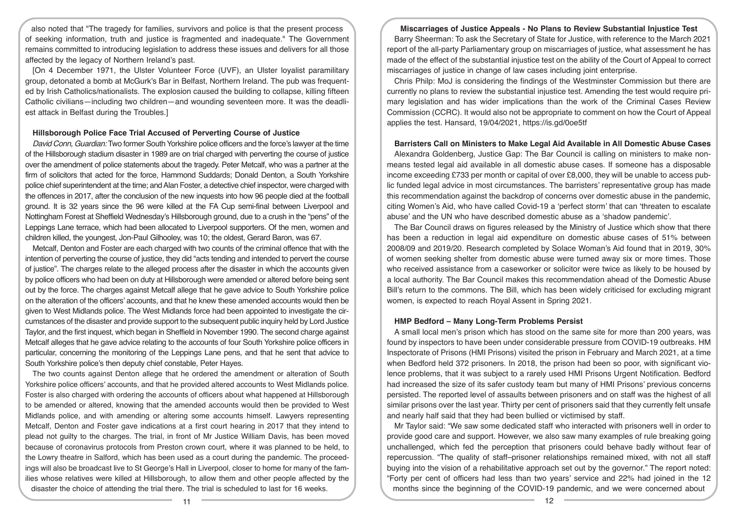also noted that "The tragedy for families, survivors and police is that the present process of seeking information, truth and justice is fragmented and inadequate." The Government remains committed to introducing legislation to address these issues and delivers for all those affected by the legacy of Northern Ireland's past.

[On 4 December 1971, the Ulster Volunteer Force (UVF), an Ulster loyalist paramilitary group, detonated a bomb at McGurk's Bar in Belfast, Northern Ireland. The pub was frequented by Irish Catholics/nationalists. The explosion caused the building to collapse, killing fifteen Catholic civilians—including two children—and wounding seventeen more. It was the deadliest attack in Belfast during the Troubles.]

#### **Hillsborough Police Face Trial Accused of Perverting Course of Justice**

*David Conn, Guardian:* Two former South Yorkshire police officers and the force's lawyer at the time of the Hillsborough stadium disaster in 1989 are on trial charged with perverting the course of justice over the amendment of police statements about the tragedy. Peter Metcalf, who was a partner at the firm of solicitors that acted for the force, Hammond Suddards; Donald Denton, a South Yorkshire police chief superintendent at the time; and Alan Foster, a detective chief inspector, were charged with the offences in 2017, after the conclusion of the new inquests into how 96 people died at the football ground. It is 32 years since the 96 were killed at the FA Cup semi-final between Liverpool and Nottingham Forest at Sheffield Wednesday's Hillsborough ground, due to a crush in the "pens" of the Leppings Lane terrace, which had been allocated to Liverpool supporters. Of the men, women and children killed, the youngest, Jon-Paul Gilhooley, was 10; the oldest, Gerard Baron, was 67.

Metcalf, Denton and Foster are each charged with two counts of the criminal offence that with the intention of perverting the course of justice, they did "acts tending and intended to pervert the course of justice". The charges relate to the alleged process after the disaster in which the accounts given by police officers who had been on duty at Hillsborough were amended or altered before being sent out by the force. The charges against Metcalf allege that he gave advice to South Yorkshire police on the alteration of the officers' accounts, and that he knew these amended accounts would then be given to West Midlands police. The West Midlands force had been appointed to investigate the circumstances of the disaster and provide support to the subsequent public inquiry held by Lord Justice Taylor, and the first inquest, which began in Sheffield in November 1990. The second charge against Metcalf alleges that he gave advice relating to the accounts of four South Yorkshire police officers in particular, concerning the monitoring of the Leppings Lane pens, and that he sent that advice to South Yorkshire police's then deputy chief constable, Peter Hayes.

The two counts against Denton allege that he ordered the amendment or alteration of South Yorkshire police officers' accounts, and that he provided altered accounts to West Midlands police. Foster is also charged with ordering the accounts of officers about what happened at Hillsborough to be amended or altered, knowing that the amended accounts would then be provided to West Midlands police, and with amending or altering some accounts himself. Lawyers representing Metcalf, Denton and Foster gave indications at a first court hearing in 2017 that they intend to plead not guilty to the charges. The trial, in front of Mr Justice William Davis, has been moved because of coronavirus protocols from Preston crown court, where it was planned to be held, to the Lowry theatre in Salford, which has been used as a court during the pandemic. The proceedings will also be broadcast live to St George's Hall in Liverpool, closer to home for many of the families whose relatives were killed at Hillsborough, to allow them and other people affected by the disaster the choice of attending the trial there. The trial is scheduled to last for 16 weeks.

#### **Miscarriages of Justice Appeals - No Plans to Review Substantial Injustice Test**

Barry Sheerman: To ask the Secretary of State for Justice, with reference to the March 2021 report of the all-party Parliamentary group on miscarriages of justice, what assessment he has made of the effect of the substantial injustice test on the ability of the Court of Appeal to correct miscarriages of justice in change of law cases including joint enterprise.

Chris Philp: MoJ is considering the findings of the Westminster Commission but there are currently no plans to review the substantial injustice test. Amending the test would require primary legislation and has wider implications than the work of the Criminal Cases Review Commission (CCRC). It would also not be appropriate to comment on how the Court of Appeal applies the test. Hansard, 19/04/2021, https://is.gd/0oe5tf

#### **Barristers Call on Ministers to Make Legal Aid Available in All Domestic Abuse Cases**

Alexandra Goldenberg, Justice Gap: The Bar Council is calling on ministers to make nonmeans tested legal aid available in all domestic abuse cases. If someone has a disposable income exceeding £733 per month or capital of over £8,000, they will be unable to access public funded legal advice in most circumstances. The barristers' representative group has made this recommendation against the backdrop of concerns over domestic abuse in the pandemic, citing Women's Aid, who have called Covid-19 a 'perfect storm' that can 'threaten to escalate abuse' and the UN who have described domestic abuse as a 'shadow pandemic'.

The Bar Council draws on figures released by the Ministry of Justice which show that there has been a reduction in legal aid expenditure on domestic abuse cases of 51% between 2008/09 and 2019/20. Research completed by Solace Woman's Aid found that in 2019, 30% of women seeking shelter from domestic abuse were turned away six or more times. Those who received assistance from a caseworker or solicitor were twice as likely to be housed by a local authority. The Bar Council makes this recommendation ahead of the Domestic Abuse Bill's return to the commons. The Bill, which has been widely criticised for excluding migrant women, is expected to reach Royal Assent in Spring 2021.

# **HMP Bedford – Many Long-Term Problems Persist**

A small local men's prison which has stood on the same site for more than 200 years, was found by inspectors to have been under considerable pressure from COVID-19 outbreaks. HM Inspectorate of Prisons (HMI Prisons) visited the prison in February and March 2021, at a time when Bedford held 372 prisoners. In 2018, the prison had been so poor, with significant violence problems, that it was subject to a rarely used HMI Prisons Urgent Notification. Bedford had increased the size of its safer custody team but many of HMI Prisons' previous concerns persisted. The reported level of assaults between prisoners and on staff was the highest of all similar prisons over the last year. Thirty per cent of prisoners said that they currently felt unsafe and nearly half said that they had been bullied or victimised by staff.

Mr Taylor said: "We saw some dedicated staff who interacted with prisoners well in order to provide good care and support. However, we also saw many examples of rule breaking going unchallenged, which fed the perception that prisoners could behave badly without fear of repercussion. "The quality of staff–prisoner relationships remained mixed, with not all staff buying into the vision of a rehabilitative approach set out by the governor." The report noted: "Forty per cent of officers had less than two years' service and 22% had joined in the 12 months since the beginning of the COVID-19 pandemic, and we were concerned about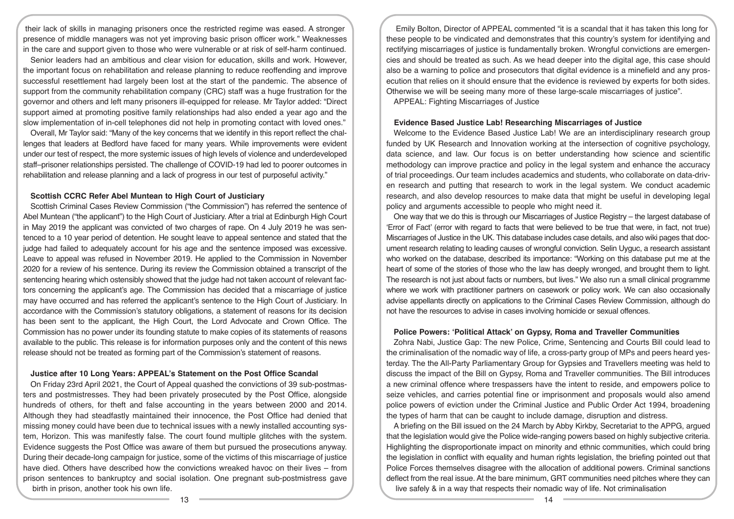their lack of skills in managing prisoners once the restricted regime was eased. A stronger presence of middle managers was not yet improving basic prison officer work." Weaknesses in the care and support given to those who were vulnerable or at risk of self-harm continued.

Senior leaders had an ambitious and clear vision for education, skills and work. However, the important focus on rehabilitation and release planning to reduce reoffending and improve successful resettlement had largely been lost at the start of the pandemic. The absence of support from the community rehabilitation company (CRC) staff was a huge frustration for the governor and others and left many prisoners ill-equipped for release. Mr Taylor added: "Direct support aimed at promoting positive family relationships had also ended a year ago and the slow implementation of in-cell telephones did not help in promoting contact with loved ones."

Overall, Mr Taylor said: "Many of the key concerns that we identify in this report reflect the challenges that leaders at Bedford have faced for many years. While improvements were evident under our test of respect, the more systemic issues of high levels of violence and underdeveloped staff–prisoner relationships persisted. The challenge of COVID-19 had led to poorer outcomes in rehabilitation and release planning and a lack of progress in our test of purposeful activity."

# **Scottish CCRC Refer Abel Muntean to High Court of Justiciary**

Scottish Criminal Cases Review Commission ("the Commission") has referred the sentence of Abel Muntean ("the applicant") to the High Court of Justiciary. After a trial at Edinburgh High Court in May 2019 the applicant was convicted of two charges of rape. On 4 July 2019 he was sentenced to a 10 year period of detention. He sought leave to appeal sentence and stated that the judge had failed to adequately account for his age and the sentence imposed was excessive. Leave to appeal was refused in November 2019. He applied to the Commission in November 2020 for a review of his sentence. During its review the Commission obtained a transcript of the sentencing hearing which ostensibly showed that the judge had not taken account of relevant factors concerning the applicant's age. The Commission has decided that a miscarriage of justice may have occurred and has referred the applicant's sentence to the High Court of Justiciary. In accordance with the Commission's statutory obligations, a statement of reasons for its decision has been sent to the applicant, the High Court, the Lord Advocate and Crown Office. The Commission has no power under its founding statute to make copies of its statements of reasons available to the public. This release is for information purposes only and the content of this news release should not be treated as forming part of the Commission's statement of reasons.

#### **Justice after 10 Long Years: APPEAL's Statement on the Post Office Scandal**

On Friday 23rd April 2021, the Court of Appeal quashed the convictions of 39 sub-postmasters and postmistresses. They had been privately prosecuted by the Post Office, alongside hundreds of others, for theft and false accounting in the years between 2000 and 2014. Although they had steadfastly maintained their innocence, the Post Office had denied that missing money could have been due to technical issues with a newly installed accounting system, Horizon. This was manifestly false. The court found multiple glitches with the system. Evidence suggests the Post Office was aware of them but pursued the prosecutions anyway. During their decade-long campaign for justice, some of the victims of this miscarriage of justice have died. Others have described how the convictions wreaked havoc on their lives – from prison sentences to bankruptcy and social isolation. One pregnant sub-postmistress gave birth in prison, another took his own life.

Emily Bolton, Director of APPEAL commented "it is a scandal that it has taken this long for these people to be vindicated and demonstrates that this country's system for identifying and rectifying miscarriages of justice is fundamentally broken. Wrongful convictions are emergencies and should be treated as such. As we head deeper into the digital age, this case should also be a warning to police and prosecutors that digital evidence is a minefield and any prosecution that relies on it should ensure that the evidence is reviewed by experts for both sides. Otherwise we will be seeing many more of these large-scale miscarriages of justice".

APPEAL: Fighting Miscarriages of Justice

### **Evidence Based Justice Lab! Researching Miscarriages of Justice**

Welcome to the Evidence Based Justice Lab! We are an interdisciplinary research group funded by UK Research and Innovation working at the intersection of cognitive psychology, data science, and law. Our focus is on better understanding how science and scientific methodology can improve practice and policy in the legal system and enhance the accuracy of trial proceedings. Our team includes academics and students, who collaborate on data-driven research and putting that research to work in the legal system. We conduct academic research, and also develop resources to make data that might be useful in developing legal policy and arguments accessible to people who might need it.

One way that we do this is through our Miscarriages of Justice Registry – the largest database of 'Error of Fact' (error with regard to facts that were believed to be true that were, in fact, not true) Miscarriages of Justice in the UK. This database includes case details, and also wiki pages that document research relating to leading causes of wrongful conviction. Selin Uyguc, a research assistant who worked on the database, described its importance: "Working on this database put me at the heart of some of the stories of those who the law has deeply wronged, and brought them to light. The research is not just about facts or numbers, but lives." We also run a small clinical programme where we work with practitioner partners on casework or policy work. We can also occasionally advise appellants directly on applications to the Criminal Cases Review Commission, although do not have the resources to advise in cases involving homicide or sexual offences.

# **Police Powers: 'Political Attack' on Gypsy, Roma and Traveller Communities**

Zohra Nabi, Justice Gap: The new Police, Crime, Sentencing and Courts Bill could lead to the criminalisation of the nomadic way of life, a cross-party group of MPs and peers heard yesterday. The the All-Party Parliamentary Group for Gypsies and Travellers meeting was held to discuss the impact of the Bill on Gypsy, Roma and Traveller communities. The Bill introduces a new criminal offence where trespassers have the intent to reside, and empowers police to seize vehicles, and carries potential fine or imprisonment and proposals would also amend police powers of eviction under the Criminal Justice and Public Order Act 1994, broadening the types of harm that can be caught to include damage, disruption and distress.

A briefing on the Bill issued on the 24 March by Abby Kirkby, Secretariat to the APPG, argued that the legislation would give the Police wide-ranging powers based on highly subjective criteria. Highlighting the disproportionate impact on minority and ethnic communities, which could bring the legislation in conflict with equality and human rights legislation, the briefing pointed out that Police Forces themselves disagree with the allocation of additional powers. Criminal sanctions deflect from the real issue. At the bare minimum, GRT communities need pitches where they can live safely & in a way that respects their nomadic way of life. Not criminalisation